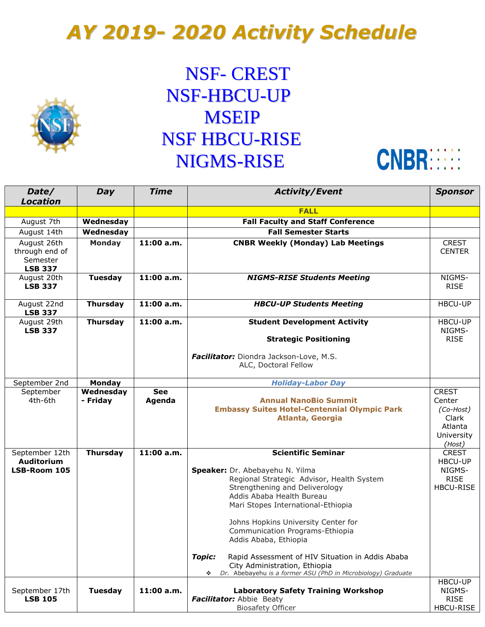## *AY 2019- 2020 Activity Schedule*



## NSF- CREST NSF-HBCU-UP **MSEIP** NSF HBCU-RISE NIGMS-RISE



| Date/                      | Day             | <b>Time</b> | <b>Activity/Event</b>                                             | <b>Sponsor</b>   |
|----------------------------|-----------------|-------------|-------------------------------------------------------------------|------------------|
| <b>Location</b>            |                 |             | <b>FALL</b>                                                       |                  |
|                            |                 |             |                                                                   |                  |
| August 7th                 | Wednesday       |             | <b>Fall Faculty and Staff Conference</b>                          |                  |
| August 14th                | Wednesday       |             | <b>Fall Semester Starts</b>                                       |                  |
| August 26th                | <b>Monday</b>   | 11:00 a.m.  | <b>CNBR Weekly (Monday) Lab Meetings</b>                          | <b>CREST</b>     |
| through end of             |                 |             |                                                                   | <b>CENTER</b>    |
| Semester<br><b>LSB 337</b> |                 |             |                                                                   |                  |
| August 20th                | <b>Tuesday</b>  | 11:00 a.m.  | <b>NIGMS-RISE Students Meeting</b>                                | NIGMS-           |
| <b>LSB 337</b>             |                 |             |                                                                   | <b>RISE</b>      |
|                            |                 |             |                                                                   |                  |
| August 22nd                | <b>Thursday</b> | 11:00 a.m.  | <b>HBCU-UP Students Meeting</b>                                   | <b>HBCU-UP</b>   |
| <b>LSB 337</b>             |                 |             |                                                                   |                  |
| August 29th                | <b>Thursday</b> | 11:00 a.m.  | <b>Student Development Activity</b>                               | <b>HBCU-UP</b>   |
| <b>LSB 337</b>             |                 |             |                                                                   | NIGMS-           |
|                            |                 |             | <b>Strategic Positioning</b>                                      | <b>RISE</b>      |
|                            |                 |             | Facilitator: Diondra Jackson-Love, M.S.                           |                  |
|                            |                 |             | ALC, Doctoral Fellow                                              |                  |
|                            |                 |             |                                                                   |                  |
| September 2nd              | <b>Monday</b>   |             | <b>Holiday-Labor Day</b>                                          |                  |
| September                  | Wednesday       | <b>See</b>  |                                                                   | <b>CREST</b>     |
| 4th-6th                    | - Friday        | Agenda      | <b>Annual NanoBio Summit</b>                                      | Center           |
|                            |                 |             | <b>Embassy Suites Hotel-Centennial Olympic Park</b>               | (Co-Host)        |
|                            |                 |             | <b>Atlanta, Georgia</b>                                           | Clark<br>Atlanta |
|                            |                 |             |                                                                   | University       |
|                            |                 |             |                                                                   | (Host)           |
| September 12th             | <b>Thursday</b> | 11:00 a.m.  | <b>Scientific Seminar</b>                                         | <b>CREST</b>     |
| <b>Auditorium</b>          |                 |             |                                                                   | <b>HBCU-UP</b>   |
| LSB-Room 105               |                 |             | Speaker: Dr. Abebayehu N. Yilma                                   | NIGMS-           |
|                            |                 |             | Regional Strategic Advisor, Health System                         | <b>RISE</b>      |
|                            |                 |             | Strengthening and Deliverology                                    | HBCU-RISE        |
|                            |                 |             | Addis Ababa Health Bureau                                         |                  |
|                            |                 |             | Mari Stopes International-Ethiopia                                |                  |
|                            |                 |             | Johns Hopkins University Center for                               |                  |
|                            |                 |             | Communication Programs-Ethiopia                                   |                  |
|                            |                 |             | Addis Ababa, Ethiopia                                             |                  |
|                            |                 |             |                                                                   |                  |
|                            |                 |             | <b>Topic:</b><br>Rapid Assessment of HIV Situation in Addis Ababa |                  |
|                            |                 |             | City Administration, Ethiopia                                     |                  |
|                            |                 |             | Dr. Abebayehu is a former ASU (PhD in Microbiology) Graduate<br>❖ | HBCU-UP          |
| September 17th             | <b>Tuesday</b>  | 11:00 a.m.  | <b>Laboratory Safety Training Workshop</b>                        | NIGMS-           |
| <b>LSB 105</b>             |                 |             | Facilitator: Abbie Beaty                                          | <b>RISE</b>      |
|                            |                 |             | <b>Biosafety Officer</b>                                          | HBCU-RISE        |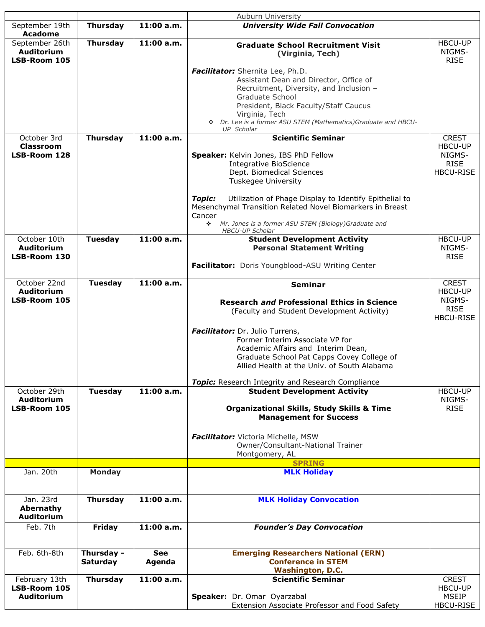|                                                     |                 |            | Auburn University                                                                                                                              |                                         |
|-----------------------------------------------------|-----------------|------------|------------------------------------------------------------------------------------------------------------------------------------------------|-----------------------------------------|
| September 19th<br><b>Acadome</b>                    | <b>Thursday</b> | 11:00 a.m. | <b>University Wide Fall Convocation</b>                                                                                                        |                                         |
| September 26th<br><b>Auditorium</b><br>LSB-Room 105 | <b>Thursday</b> | 11:00 a.m. | <b>Graduate School Recruitment Visit</b><br>(Virginia, Tech)                                                                                   | <b>HBCU-UP</b><br>NIGMS-<br><b>RISE</b> |
|                                                     |                 |            | Facilitator: Shernita Lee, Ph.D.<br>Assistant Dean and Director, Office of                                                                     |                                         |
|                                                     |                 |            | Recruitment, Diversity, and Inclusion -                                                                                                        |                                         |
|                                                     |                 |            | Graduate School<br>President, Black Faculty/Staff Caucus                                                                                       |                                         |
|                                                     |                 |            | Virginia, Tech<br>* Dr. Lee is a former ASU STEM (Mathematics) Graduate and HBCU-                                                              |                                         |
| October 3rd                                         | <b>Thursday</b> | 11:00 a.m. | <b>UP</b> Scholar<br><b>Scientific Seminar</b>                                                                                                 | <b>CREST</b>                            |
| <b>Classroom</b><br>LSB-Room 128                    |                 |            | Speaker: Kelvin Jones, IBS PhD Fellow                                                                                                          | HBCU-UP<br>NIGMS-                       |
|                                                     |                 |            | <b>Integrative BioScience</b>                                                                                                                  | <b>RISE</b>                             |
|                                                     |                 |            | Dept. Biomedical Sciences                                                                                                                      | HBCU-RISE                               |
|                                                     |                 |            | Tuskegee University                                                                                                                            |                                         |
|                                                     |                 |            | Utilization of Phage Display to Identify Epithelial to<br><b>Topic:</b><br>Mesenchymal Transition Related Novel Biomarkers in Breast<br>Cancer |                                         |
|                                                     |                 |            | Mr. Jones is a former ASU STEM (Biology)Graduate and<br>÷.<br><b>HBCU-UP Scholar</b>                                                           |                                         |
| October 10th                                        | <b>Tuesday</b>  | 11:00 a.m. | <b>Student Development Activity</b>                                                                                                            | <b>HBCU-UP</b>                          |
| Auditorium<br>LSB-Room 130                          |                 |            | <b>Personal Statement Writing</b>                                                                                                              | NIGMS-<br><b>RISE</b>                   |
|                                                     |                 |            | Facilitator: Doris Youngblood-ASU Writing Center                                                                                               |                                         |
| October 22nd<br>Auditorium                          | <b>Tuesday</b>  | 11:00 a.m. | Seminar                                                                                                                                        | <b>CREST</b><br><b>HBCU-UP</b>          |
| LSB-Room 105                                        |                 |            | <b>Research and Professional Ethics in Science</b><br>(Faculty and Student Development Activity)                                               | NIGMS-<br><b>RISE</b><br>HBCU-RISE      |
|                                                     |                 |            | Facilitator: Dr. Julio Turrens,                                                                                                                |                                         |
|                                                     |                 |            | Former Interim Associate VP for<br>Academic Affairs and Interim Dean,                                                                          |                                         |
|                                                     |                 |            | Graduate School Pat Capps Covey College of                                                                                                     |                                         |
|                                                     |                 |            | Allied Health at the Univ. of South Alabama                                                                                                    |                                         |
|                                                     |                 |            | <b>Topic:</b> Research Integrity and Research Compliance                                                                                       |                                         |
| October 29th<br>Auditorium                          | <b>Tuesday</b>  | 11:00 a.m. | <b>Student Development Activity</b>                                                                                                            | <b>HBCU-UP</b><br>NIGMS-                |
| LSB-Room 105                                        |                 |            | <b>Organizational Skills, Study Skills &amp; Time</b><br><b>Management for Success</b>                                                         | <b>RISE</b>                             |
|                                                     |                 |            |                                                                                                                                                |                                         |
|                                                     |                 |            | Facilitator: Victoria Michelle, MSW                                                                                                            |                                         |
|                                                     |                 |            | Owner/Consultant-National Trainer<br>Montgomery, AL                                                                                            |                                         |
|                                                     |                 |            | <b>SPRING</b>                                                                                                                                  |                                         |
| Jan. 20th                                           | <b>Monday</b>   |            | <b>MLK Holiday</b>                                                                                                                             |                                         |
| Jan. 23rd                                           | <b>Thursday</b> | 11:00 a.m. | <b>MLK Holiday Convocation</b>                                                                                                                 |                                         |
| Abernathy<br><b>Auditorium</b>                      |                 |            |                                                                                                                                                |                                         |
| Feb. 7th                                            | <b>Friday</b>   | 11:00 a.m. | <b>Founder's Day Convocation</b>                                                                                                               |                                         |
| Feb. 6th-8th                                        | Thursday -      | <b>See</b> | <b>Emerging Researchers National (ERN)</b>                                                                                                     |                                         |
|                                                     | <b>Saturday</b> | Agenda     | <b>Conference in STEM</b><br><b>Washington, D.C.</b>                                                                                           |                                         |
| February 13th                                       | <b>Thursday</b> | 11:00 a.m. | <b>Scientific Seminar</b>                                                                                                                      | <b>CREST</b>                            |
| LSB-Room 105                                        |                 |            |                                                                                                                                                | <b>HBCU-UP</b>                          |
| <b>Auditorium</b>                                   |                 |            | Speaker: Dr. Omar Oyarzabal                                                                                                                    | <b>MSEIP</b>                            |
|                                                     |                 |            | Extension Associate Professor and Food Safety                                                                                                  | HBCU-RISE                               |